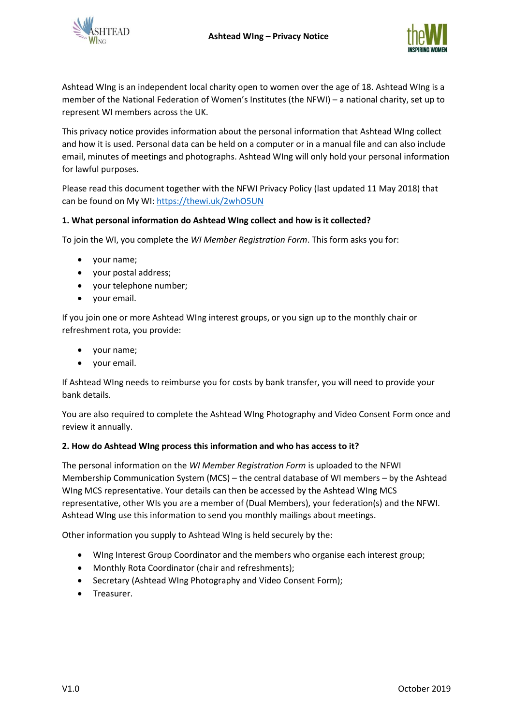



Ashtead WIng is an independent local charity open to women over the age of 18. Ashtead WIng is a member of the National Federation of Women's Institutes (the NFWI) – a national charity, set up to represent WI members across the UK.

This privacy notice provides information about the personal information that Ashtead WIng collect and how it is used. Personal data can be held on a computer or in a manual file and can also include email, minutes of meetings and photographs. Ashtead WIng will only hold your personal information for lawful purposes.

Please read this document together with the NFWI Privacy Policy (last updated 11 May 2018) that can be found on My WI:<https://thewi.uk/2whO5UN>

# **1. What personal information do Ashtead WIng collect and how is it collected?**

To join the WI, you complete the *WI Member Registration Form*. This form asks you for:

- your name;
- your postal address;
- your telephone number;
- your email.

If you join one or more Ashtead WIng interest groups, or you sign up to the monthly chair or refreshment rota, you provide:

- your name;
- your email.

If Ashtead WIng needs to reimburse you for costs by bank transfer, you will need to provide your bank details.

You are also required to complete the Ashtead WIng Photography and Video Consent Form once and review it annually.

## **2. How do Ashtead WIng process this information and who has access to it?**

The personal information on the *WI Member Registration Form* is uploaded to the NFWI Membership Communication System (MCS) – the central database of WI members – by the Ashtead WIng MCS representative. Your details can then be accessed by the Ashtead WIng MCS representative, other WIs you are a member of (Dual Members), your federation(s) and the NFWI. Ashtead WIng use this information to send you monthly mailings about meetings.

Other information you supply to Ashtead WIng is held securely by the:

- WIng Interest Group Coordinator and the members who organise each interest group;
- Monthly Rota Coordinator (chair and refreshments);
- Secretary (Ashtead WIng Photography and Video Consent Form);
- Treasurer.